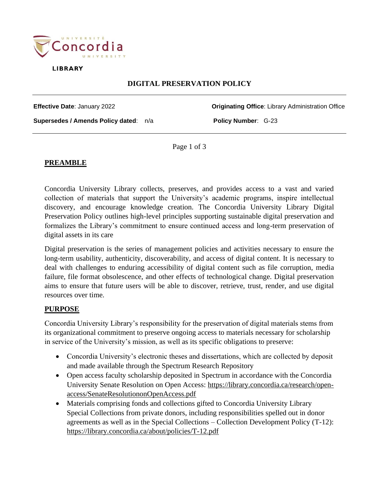

**LIBRARY** 

# **DIGITAL PRESERVATION POLICY**

**Effective Date**: January 2022 **Originating Office**: Library Administration Office

**Supersedes / Amends Policy dated**: n/a **Policy Number**: G-23

Page 1 of 3

#### **PREAMBLE**

Concordia University Library collects, preserves, and provides access to a vast and varied collection of materials that support the University's academic programs, inspire intellectual discovery, and encourage knowledge creation. The Concordia University Library Digital Preservation Policy outlines high-level principles supporting sustainable digital preservation and formalizes the Library's commitment to ensure continued access and long-term preservation of digital assets in its care

Digital preservation is the series of management policies and activities necessary to ensure the long-term usability, authenticity, discoverability, and access of digital content. It is necessary to deal with challenges to enduring accessibility of digital content such as file corruption, media failure, file format obsolescence, and other effects of technological change. Digital preservation aims to ensure that future users will be able to discover, retrieve, trust, render, and use digital resources over time.

#### **PURPOSE**

Concordia University Library's responsibility for the preservation of digital materials stems from its organizational commitment to preserve ongoing access to materials necessary for scholarship in service of the University's mission, as well as its specific obligations to preserve:

- Concordia University's electronic theses and dissertations, which are collected by deposit and made available through the Spectrum Research Repository
- Open access faculty scholarship deposited in Spectrum in accordance with the Concordia University Senate Resolution on Open Access: [https://library.concordia.ca/research/open](https://library.concordia.ca/research/open-access/SenateResolutiononOpenAccess.pdf)[access/SenateResolutiononOpenAccess.pdf](https://library.concordia.ca/research/open-access/SenateResolutiononOpenAccess.pdf)
- Materials comprising fonds and collections gifted to Concordia University Library Special Collections from private donors, including responsibilities spelled out in donor agreements as well as in the Special Collections – Collection Development Policy (T-12): <https://library.concordia.ca/about/policies/T-12.pdf>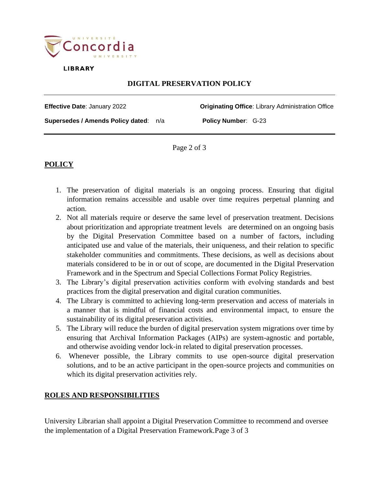

**LIBRARY** 

# **DIGITAL PRESERVATION POLICY**

**Effective Date**: January 2022 **Originating Office**: Library Administration Office **Supersedes / Amends Policy dated**: n/a **Policy Number**: G-23

Page 2 of 3

# **POLICY**

- 1. The preservation of digital materials is an ongoing process. Ensuring that digital information remains accessible and usable over time requires perpetual planning and action.
- 2. Not all materials require or deserve the same level of preservation treatment. Decisions about prioritization and appropriate treatment levels are determined on an ongoing basis by the Digital Preservation Committee based on a number of factors, including anticipated use and value of the materials, their uniqueness, and their relation to specific stakeholder communities and commitments. These decisions, as well as decisions about materials considered to be in or out of scope, are documented in the Digital Preservation Framework and in the Spectrum and Special Collections Format Policy Registries.
- 3. The Library's digital preservation activities conform with evolving standards and best practices from the digital preservation and digital curation communities.
- 4. The Library is committed to achieving long-term preservation and access of materials in a manner that is mindful of financial costs and environmental impact, to ensure the sustainability of its digital preservation activities.
- 5. The Library will reduce the burden of digital preservation system migrations over time by ensuring that Archival Information Packages (AIPs) are system-agnostic and portable, and otherwise avoiding vendor lock-in related to digital preservation processes.
- 6. Whenever possible, the Library commits to use open-source digital preservation solutions, and to be an active participant in the open-source projects and communities on which its digital preservation activities rely.

### **ROLES AND RESPONSIBILITIES**

University Librarian shall appoint a Digital Preservation Committee to recommend and oversee the implementation of a Digital Preservation Framework.Page 3 of 3